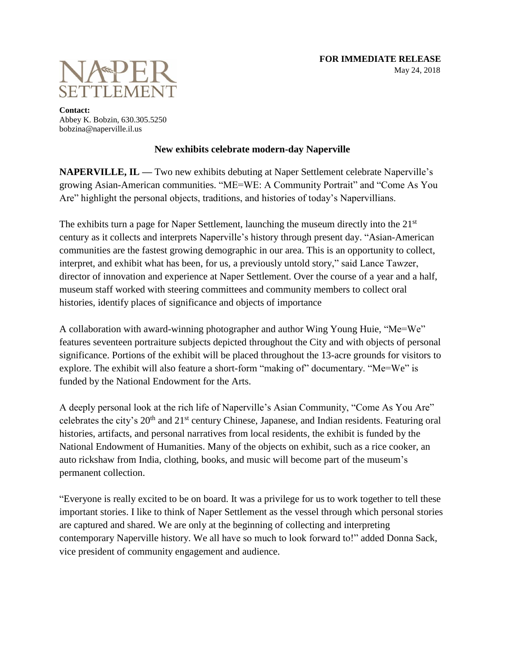

**Contact:** Abbey K. Bobzin, 630.305.5250 bobzina@naperville.il.us

## **New exhibits celebrate modern-day Naperville**

**NAPERVILLE, IL — Two new exhibits debuting at Naper Settlement celebrate Naperville's** growing Asian-American communities. "ME=WE: A Community Portrait" and "Come As You Are" highlight the personal objects, traditions, and histories of today's Napervillians.

The exhibits turn a page for Naper Settlement, launching the museum directly into the  $21<sup>st</sup>$ century as it collects and interprets Naperville's history through present day. "Asian-American communities are the fastest growing demographic in our area. This is an opportunity to collect, interpret, and exhibit what has been, for us, a previously untold story," said Lance Tawzer, director of innovation and experience at Naper Settlement. Over the course of a year and a half, museum staff worked with steering committees and community members to collect oral histories, identify places of significance and objects of importance

A collaboration with award-winning photographer and author Wing Young Huie, "Me=We" features seventeen portraiture subjects depicted throughout the City and with objects of personal significance. Portions of the exhibit will be placed throughout the 13-acre grounds for visitors to explore. The exhibit will also feature a short-form "making of" documentary. "Me=We" is funded by the National Endowment for the Arts.

A deeply personal look at the rich life of Naperville's Asian Community, "Come As You Are" celebrates the city's 20<sup>th</sup> and 21<sup>st</sup> century Chinese, Japanese, and Indian residents. Featuring oral histories, artifacts, and personal narratives from local residents, the exhibit is funded by the National Endowment of Humanities. Many of the objects on exhibit, such as a rice cooker, an auto rickshaw from India, clothing, books, and music will become part of the museum's permanent collection.

"Everyone is really excited to be on board. It was a privilege for us to work together to tell these important stories. I like to think of Naper Settlement as the vessel through which personal stories are captured and shared. We are only at the beginning of collecting and interpreting contemporary Naperville history. We all have so much to look forward to!" added Donna Sack, vice president of community engagement and audience.